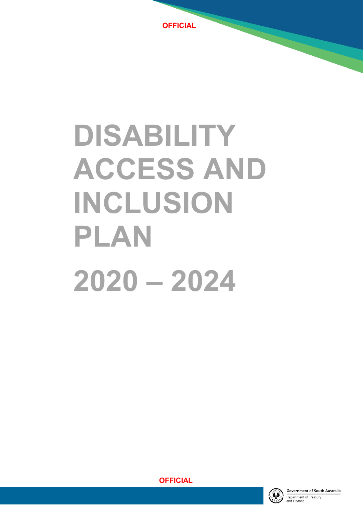

# **DISABILITY ACCESS AND INCLUSION PLAN 2020 – 2024**



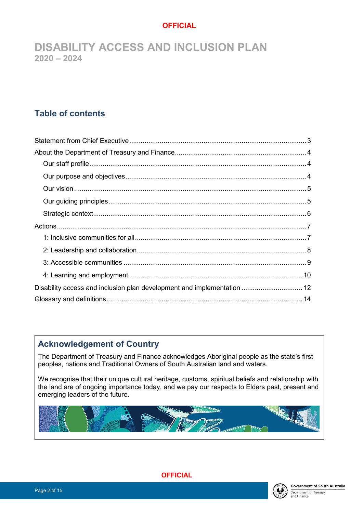**DISABILITY ACCESS AND INCLUSION PLAN 2020 – 2024**

# **Table of contents**

| Disability access and inclusion plan development and implementation  12 |  |
|-------------------------------------------------------------------------|--|
|                                                                         |  |

# **Acknowledgement of Country**

The Department of Treasury and Finance acknowledges Aboriginal people as the state's first peoples, nations and Traditional Owners of South Australian land and waters.

We recognise that their unique cultural heritage, customs, spiritual beliefs and relationship with the land are of ongoing importance today, and we pay our respects to Elders past, present and emerging leaders of the future.



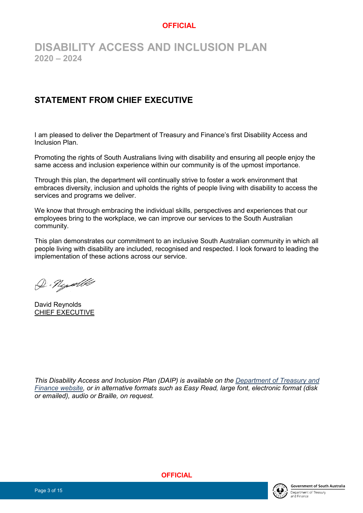# **DISABILITY ACCESS AND INCLUSION PLAN 2020 – 2024**

# <span id="page-2-0"></span>**STATEMENT FROM CHIEF EXECUTIVE**

I am pleased to deliver the Department of Treasury and Finance's first Disability Access and Inclusion Plan.

Promoting the rights of South Australians living with disability and ensuring all people enjoy the same access and inclusion experience within our community is of the upmost importance.

Through this plan, the department will continually strive to foster a work environment that embraces diversity, inclusion and upholds the rights of people living with disability to access the services and programs we deliver.

We know that through embracing the individual skills, perspectives and experiences that our employees bring to the workplace, we can improve our services to the South Australian community.

This plan demonstrates our commitment to an inclusive South Australian community in which all people living with disability are included, recognised and respected. I look forward to leading the implementation of these actions across our service.

D. Nydle

David Reynolds CHIEF EXECUTIVE

*This Disability Access and Inclusion Plan (DAIP) is available on the [Department of Treasury and](https://treasury.sa.gov.au/about/what-we-stand-for/disability-access-and-inclusion)  [Finance website,](https://treasury.sa.gov.au/about/what-we-stand-for/disability-access-and-inclusion) or in alternative formats such as Easy Read, large font, electronic format (disk or emailed), audio or Braille, on request.*

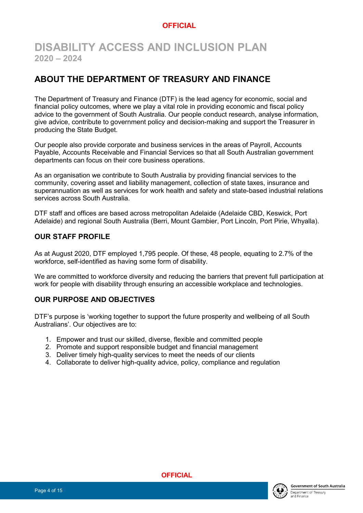# **DISABILITY ACCESS AND INCLUSION PLAN 2020 – 2024**

## <span id="page-3-0"></span>**ABOUT THE DEPARTMENT OF TREASURY AND FINANCE**

The Department of Treasury and Finance (DTF) is the lead agency for economic, social and financial policy outcomes, where we play a vital role in providing economic and fiscal policy advice to the government of South Australia. Our people conduct research, analyse information, give advice, contribute to government policy and decision-making and support the Treasurer in producing the State Budget.

Our people also provide corporate and business services in the areas of Payroll, Accounts Payable, Accounts Receivable and Financial Services so that all South Australian government departments can focus on their core business operations.

As an organisation we contribute to South Australia by providing financial services to the community, covering asset and liability management, collection of state taxes, insurance and superannuation as well as services for work health and safety and state-based industrial relations services across South Australia.

DTF staff and offices are based across metropolitan Adelaide (Adelaide CBD, Keswick, Port Adelaide) and regional South Australia (Berri, Mount Gambier, Port Lincoln, Port Pirie, Whyalla).

#### <span id="page-3-1"></span>**OUR STAFF PROFILE**

As at August 2020, DTF employed 1,795 people. Of these, 48 people, equating to 2.7% of the workforce, self-identified as having some form of disability.

We are committed to workforce diversity and reducing the barriers that prevent full participation at work for people with disability through ensuring an accessible workplace and technologies.

#### <span id="page-3-2"></span>**OUR PURPOSE AND OBJECTIVES**

DTF's purpose is 'working together to support the future prosperity and wellbeing of all South Australians'. Our objectives are to:

- 1. Empower and trust our skilled, diverse, flexible and committed people
- 2. Promote and support responsible budget and financial management
- 3. Deliver timely high-quality services to meet the needs of our clients
- 4. Collaborate to deliver high-quality advice, policy, compliance and regulation



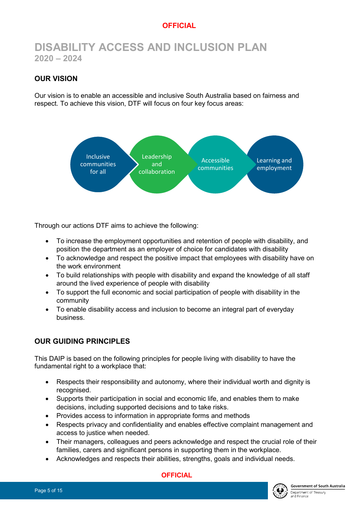# **DISABILITY ACCESS AND INCLUSION PLAN 2020 – 2024**

## <span id="page-4-0"></span>**OUR VISION**

Our vision is to enable an accessible and inclusive South Australia based on fairness and respect. To achieve this vision, DTF will focus on four key focus areas:



Through our actions DTF aims to achieve the following:

- To increase the employment opportunities and retention of people with disability, and position the department as an employer of choice for candidates with disability
- To acknowledge and respect the positive impact that employees with disability have on the work environment
- To build relationships with people with disability and expand the knowledge of all staff around the lived experience of people with disability
- To support the full economic and social participation of people with disability in the community
- To enable disability access and inclusion to become an integral part of everyday business.

#### <span id="page-4-1"></span>**OUR GUIDING PRINCIPLES**

This DAIP is based on the following principles for people living with disability to have the fundamental right to a workplace that:

- Respects their responsibility and autonomy, where their individual worth and dignity is recognised.
- Supports their participation in social and economic life, and enables them to make decisions, including supported decisions and to take risks.
- Provides access to information in appropriate forms and methods
- Respects privacy and confidentiality and enables effective complaint management and access to justice when needed.
- Their managers, colleagues and peers acknowledge and respect the crucial role of their families, carers and significant persons in supporting them in the workplace.
- Acknowledges and respects their abilities, strengths, goals and individual needs.

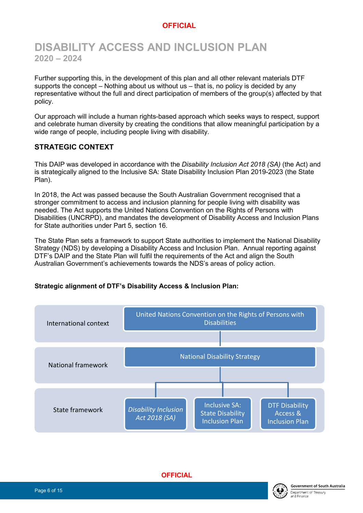# **DISABILITY ACCESS AND INCLUSION PLAN 2020 – 2024**

Further supporting this, in the development of this plan and all other relevant materials DTF supports the concept – Nothing about us without us – that is, no policy is decided by any representative without the full and direct participation of members of the group(s) affected by that policy.

Our approach will include a human rights-based approach which seeks ways to respect, support and celebrate human diversity by creating the conditions that allow meaningful participation by a wide range of people, including people living with disability.

#### <span id="page-5-0"></span>**STRATEGIC CONTEXT**

This DAIP was developed in accordance with the *Disability Inclusion Act 2018 (SA)* (the Act) and is strategically aligned to the Inclusive SA: State Disability Inclusion Plan 2019-2023 (the State Plan).

In 2018, the Act was passed because the South Australian Government recognised that a stronger commitment to access and inclusion planning for people living with disability was needed. The Act supports the United Nations Convention on the Rights of Persons with Disabilities (UNCRPD), and mandates the development of Disability Access and Inclusion Plans for State authorities under Part 5, section 16.

The State Plan sets a framework to support State authorities to implement the National Disability Strategy (NDS) by developing a Disability Access and Inclusion Plan. Annual reporting against DTF's DAIP and the State Plan will fulfil the requirements of the Act and align the South Australian Government's achievements towards the NDS's areas of policy action.

#### **Strategic alignment of DTF's Disability Access & Inclusion Plan:**



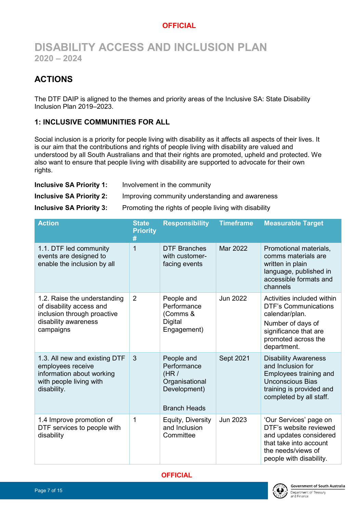# **DISABILITY ACCESS AND INCLUSION PLAN 2020 – 2024**

# <span id="page-6-0"></span>**ACTIONS**

The DTF DAIP is aligned to the themes and priority areas of the Inclusive SA: State Disability Inclusion Plan 2019–2023.

## <span id="page-6-1"></span>**1: INCLUSIVE COMMUNITIES FOR ALL**

Social inclusion is a priority for people living with disability as it affects all aspects of their lives. It is our aim that the contributions and rights of people living with disability are valued and understood by all South Australians and that their rights are promoted, upheld and protected. We also want to ensure that people living with disability are supported to advocate for their own rights.

| <b>Inclusive SA Priority 1:</b><br>Involvement in the community |  |  |
|-----------------------------------------------------------------|--|--|
|-----------------------------------------------------------------|--|--|

**Inclusive SA Priority 2:** Improving community understanding and awareness

**Inclusive SA Priority 3:** Promoting the rights of people living with disability

| <b>Action</b>                                                                                                                | <b>State</b><br><b>Priority</b><br># | <b>Responsibility</b>                                                                      | <b>Timeframe</b> | <b>Measurable Target</b>                                                                                                                                        |
|------------------------------------------------------------------------------------------------------------------------------|--------------------------------------|--------------------------------------------------------------------------------------------|------------------|-----------------------------------------------------------------------------------------------------------------------------------------------------------------|
| 1.1. DTF led community<br>events are designed to<br>enable the inclusion by all                                              | 1                                    | <b>DTF Branches</b><br>with customer-<br>facing events                                     | Mar 2022         | Promotional materials,<br>comms materials are<br>written in plain<br>language, published in<br>accessible formats and<br>channels                               |
| 1.2. Raise the understanding<br>of disability access and<br>inclusion through proactive<br>disability awareness<br>campaigns | $\overline{2}$                       | People and<br>Performance<br>(Comms &<br>Digital<br>Engagement)                            | <b>Jun 2022</b>  | Activities included within<br><b>DTF's Communications</b><br>calendar/plan.<br>Number of days of<br>significance that are<br>promoted across the<br>department. |
| 1.3. All new and existing DTF<br>employees receive<br>information about working<br>with people living with<br>disability.    | 3                                    | People and<br>Performance<br>(HR)<br>Organisational<br>Development)<br><b>Branch Heads</b> | Sept 2021        | <b>Disability Awareness</b><br>and Inclusion for<br>Employees training and<br><b>Unconscious Bias</b><br>training is provided and<br>completed by all staff.    |
| 1.4 Improve promotion of<br>DTF services to people with<br>disability                                                        | 1                                    | Equity, Diversity<br>and Inclusion<br>Committee                                            | Jun 2023         | 'Our Services' page on<br>DTF's website reviewed<br>and updates considered<br>that take into account<br>the needs/views of<br>people with disability.           |



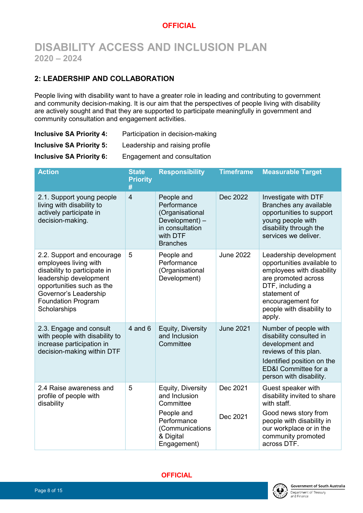# **DISABILITY ACCESS AND INCLUSION PLAN 2020 – 2024**

## <span id="page-7-0"></span>**2: LEADERSHIP AND COLLABORATION**

People living with disability want to have a greater role in leading and contributing to government and community decision-making. It is our aim that the perspectives of people living with disability are actively sought and that they are supported to participate meaningfully in government and community consultation and engagement activities.

| <b>Inclusive SA Priority 4:</b> | Participation in decision-making |
|---------------------------------|----------------------------------|
| <b>Inclusive SA Priority 5:</b> | Leadership and raising profile   |
| <b>Inclusive SA Priority 6:</b> | Engagement and consultation      |

| <b>Action</b>                                                                                                                                                                                                    | <b>State</b><br><b>Priority</b><br># | <b>Responsibility</b>                                                                                                       | <b>Timeframe</b>     | <b>Measurable Target</b>                                                                                                                                                                                 |
|------------------------------------------------------------------------------------------------------------------------------------------------------------------------------------------------------------------|--------------------------------------|-----------------------------------------------------------------------------------------------------------------------------|----------------------|----------------------------------------------------------------------------------------------------------------------------------------------------------------------------------------------------------|
| 2.1. Support young people<br>living with disability to<br>actively participate in<br>decision-making.                                                                                                            | $\overline{4}$                       | People and<br>Performance<br>(Organisational<br>Development) -<br>in consultation<br>with DTF<br><b>Branches</b>            | Dec 2022             | Investigate with DTF<br>Branches any available<br>opportunities to support<br>young people with<br>disability through the<br>services we deliver.                                                        |
| 2.2. Support and encourage<br>employees living with<br>disability to participate in<br>leadership development<br>opportunities such as the<br>Governor's Leadership<br><b>Foundation Program</b><br>Scholarships | 5                                    | People and<br>Performance<br>(Organisational<br>Development)                                                                | <b>June 2022</b>     | Leadership development<br>opportunities available to<br>employees with disability<br>are promoted across<br>DTF, including a<br>statement of<br>encouragement for<br>people with disability to<br>apply. |
| 2.3. Engage and consult<br>with people with disability to<br>increase participation in<br>decision-making within DTF                                                                                             | $4$ and $6$                          | Equity, Diversity<br>and Inclusion<br>Committee                                                                             | <b>June 2021</b>     | Number of people with<br>disability consulted in<br>development and<br>reviews of this plan.<br>Identified position on the<br>ED&I Committee for a<br>person with disability.                            |
| 2.4 Raise awareness and<br>profile of people with<br>disability                                                                                                                                                  | 5                                    | Equity, Diversity<br>and Inclusion<br>Committee<br>People and<br>Performance<br>(Communications<br>& Digital<br>Engagement) | Dec 2021<br>Dec 2021 | Guest speaker with<br>disability invited to share<br>with staff.<br>Good news story from<br>people with disability in<br>our workplace or in the<br>community promoted<br>across DTF.                    |

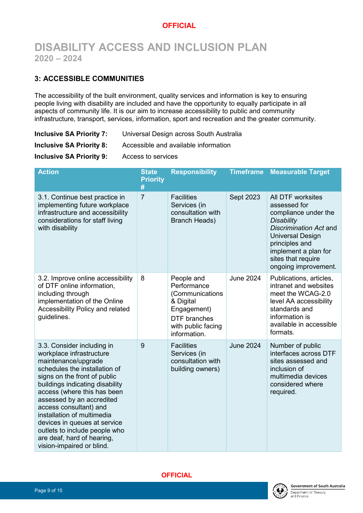# **DISABILITY ACCESS AND INCLUSION PLAN 2020 – 2024**

## <span id="page-8-0"></span>**3: ACCESSIBLE COMMUNITIES**

The accessibility of the built environment, quality services and information is key to ensuring people living with disability are included and have the opportunity to equally participate in all aspects of community life. It is our aim to increase accessibility to public and community infrastructure, transport, services, information, sport and recreation and the greater community.

**Inclusive SA Priority 8:** Accessible and available information

**Inclusive SA Priority 9:** Access to services

| <b>Action</b>                                                                                                                                                                                                                                                                                                                                                                                                                     | <b>State</b><br><b>Priority</b> | <b>Responsibility</b>                                                                                                                 | <b>Timeframe</b> | <b>Measurable Target</b>                                                                                                                                                                                                           |
|-----------------------------------------------------------------------------------------------------------------------------------------------------------------------------------------------------------------------------------------------------------------------------------------------------------------------------------------------------------------------------------------------------------------------------------|---------------------------------|---------------------------------------------------------------------------------------------------------------------------------------|------------------|------------------------------------------------------------------------------------------------------------------------------------------------------------------------------------------------------------------------------------|
| 3.1. Continue best practice in<br>implementing future workplace<br>infrastructure and accessibility<br>considerations for staff living<br>with disability                                                                                                                                                                                                                                                                         | #<br>$\overline{7}$             | <b>Facilities</b><br>Services (in<br>consultation with<br><b>Branch Heads)</b>                                                        | Sept 2023        | <b>All DTF worksites</b><br>assessed for<br>compliance under the<br><b>Disability</b><br>Discrimination Act and<br><b>Universal Design</b><br>principles and<br>implement a plan for<br>sites that require<br>ongoing improvement. |
| 3.2. Improve online accessibility<br>of DTF online information,<br>including through<br>implementation of the Online<br>Accessibility Policy and related<br>guidelines.                                                                                                                                                                                                                                                           | 8                               | People and<br>Performance<br>(Communications<br>& Digital<br>Engagement)<br><b>DTF</b> branches<br>with public facing<br>information. | <b>June 2024</b> | Publications, articles,<br>intranet and websites<br>meet the WCAG-2.0<br>level AA accessibility<br>standards and<br>information is<br>available in accessible<br>formats.                                                          |
| 3.3. Consider including in<br>workplace infrastructure<br>maintenance/upgrade<br>schedules the installation of<br>signs on the front of public<br>buildings indicating disability<br>access (where this has been<br>assessed by an accredited<br>access consultant) and<br>installation of multimedia<br>devices in queues at service<br>outlets to include people who<br>are deaf, hard of hearing,<br>vision-impaired or blind. | 9                               | <b>Facilities</b><br>Services (in<br>consultation with<br>building owners)                                                            | <b>June 2024</b> | Number of public<br>interfaces across DTF<br>sites assessed and<br>inclusion of<br>multimedia devices<br>considered where<br>required.                                                                                             |

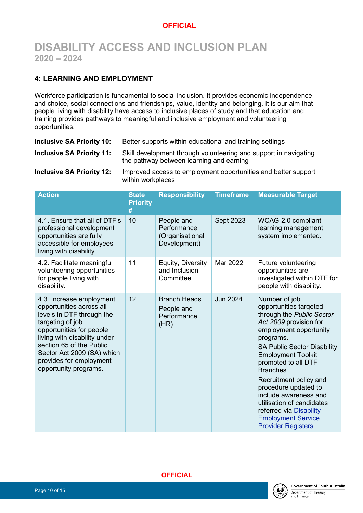# **DISABILITY ACCESS AND INCLUSION PLAN 2020 – 2024**

## <span id="page-9-0"></span>**4: LEARNING AND EMPLOYMENT**

Workforce participation is fundamental to social inclusion. It provides economic independence and choice, social connections and friendships, value, identity and belonging. It is our aim that people living with disability have access to inclusive places of study and that education and training provides pathways to meaningful and inclusive employment and volunteering opportunities.

| <b>Inclusive SA Priority 10:</b> | Better supports within educational and training settings                                                     |
|----------------------------------|--------------------------------------------------------------------------------------------------------------|
| <b>Inclusive SA Priority 11:</b> | Skill development through volunteering and support in navigating<br>the pathway between learning and earning |
| <b>Inclusive SA Priority 12:</b> | Improved access to employment opportunities and better support<br>within workplaces                          |

| <b>Action</b>                                                                                                                                                                                                                                                                   | <b>State</b><br><b>Priority</b><br># | <b>Responsibility</b>                                        | <b>Timeframe</b> | <b>Measurable Target</b>                                                                                                                                                                                                                                                                                                                                                                                                            |
|---------------------------------------------------------------------------------------------------------------------------------------------------------------------------------------------------------------------------------------------------------------------------------|--------------------------------------|--------------------------------------------------------------|------------------|-------------------------------------------------------------------------------------------------------------------------------------------------------------------------------------------------------------------------------------------------------------------------------------------------------------------------------------------------------------------------------------------------------------------------------------|
| 4.1. Ensure that all of DTF's<br>professional development<br>opportunities are fully<br>accessible for employees<br>living with disability                                                                                                                                      | 10                                   | People and<br>Performance<br>(Organisational<br>Development) | Sept 2023        | WCAG-2.0 compliant<br>learning management<br>system implemented.                                                                                                                                                                                                                                                                                                                                                                    |
| 4.2. Facilitate meaningful<br>volunteering opportunities<br>for people living with<br>disability.                                                                                                                                                                               | 11                                   | Equity, Diversity<br>and Inclusion<br>Committee              | Mar 2022         | Future volunteering<br>opportunities are<br>investigated within DTF for<br>people with disability.                                                                                                                                                                                                                                                                                                                                  |
| 4.3. Increase employment<br>opportunities across all<br>levels in DTF through the<br>targeting of job<br>opportunities for people<br>living with disability under<br>section 65 of the Public<br>Sector Act 2009 (SA) which<br>provides for employment<br>opportunity programs. | 12                                   | <b>Branch Heads</b><br>People and<br>Performance<br>(HR)     | <b>Jun 2024</b>  | Number of job<br>opportunities targeted<br>through the Public Sector<br>Act 2009 provision for<br>employment opportunity<br>programs.<br><b>SA Public Sector Disability</b><br><b>Employment Toolkit</b><br>promoted to all DTF<br>Branches.<br>Recruitment policy and<br>procedure updated to<br>include awareness and<br>utilisation of candidates<br>referred via Disability<br><b>Employment Service</b><br>Provider Registers. |



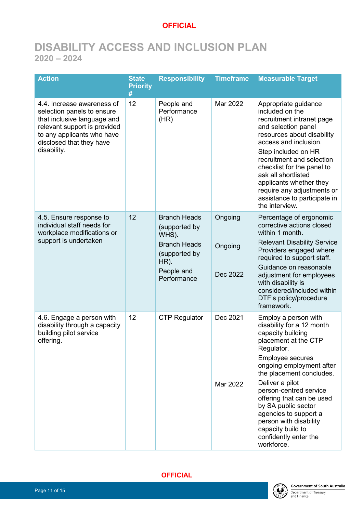# **DISABILITY ACCESS AND INCLUSION PLAN 2020 – 2024**

| <b>Action</b>                                                                                                                                                                                    | <b>State</b><br><b>Priority</b><br># | <b>Responsibility</b>                                                                                                         | <b>Timeframe</b>               | <b>Measurable Target</b>                                                                                                                                                                                                                                                                                                                                                                                        |
|--------------------------------------------------------------------------------------------------------------------------------------------------------------------------------------------------|--------------------------------------|-------------------------------------------------------------------------------------------------------------------------------|--------------------------------|-----------------------------------------------------------------------------------------------------------------------------------------------------------------------------------------------------------------------------------------------------------------------------------------------------------------------------------------------------------------------------------------------------------------|
| 4.4. Increase awareness of<br>selection panels to ensure<br>that inclusive language and<br>relevant support is provided<br>to any applicants who have<br>disclosed that they have<br>disability. | 12                                   | People and<br>Performance<br>(HR)                                                                                             | Mar 2022                       | Appropriate guidance<br>included on the<br>recruitment intranet page<br>and selection panel<br>resources about disability<br>access and inclusion.<br>Step included on HR<br>recruitment and selection<br>checklist for the panel to<br>ask all shortlisted<br>applicants whether they<br>require any adjustments or<br>assistance to participate in<br>the interview.                                          |
| 4.5. Ensure response to<br>individual staff needs for<br>workplace modifications or<br>support is undertaken                                                                                     | 12                                   | <b>Branch Heads</b><br>(supported by<br>WHS).<br><b>Branch Heads</b><br>(supported by<br>$HR$ ).<br>People and<br>Performance | Ongoing<br>Ongoing<br>Dec 2022 | Percentage of ergonomic<br>corrective actions closed<br>within 1 month.<br><b>Relevant Disability Service</b><br>Providers engaged where<br>required to support staff.<br>Guidance on reasonable<br>adjustment for employees<br>with disability is<br>considered/included within<br>DTF's policy/procedure<br>framework.                                                                                        |
| 4.6. Engage a person with<br>disability through a capacity<br>building pilot service<br>offering.                                                                                                | 12                                   | <b>CTP Regulator</b>                                                                                                          | Dec 2021<br>Mar 2022           | Employ a person with<br>disability for a 12 month<br>capacity building<br>placement at the CTP<br>Regulator.<br><b>Employee secures</b><br>ongoing employment after<br>the placement concludes.<br>Deliver a pilot<br>person-centred service<br>offering that can be used<br>by SA public sector<br>agencies to support a<br>person with disability<br>capacity build to<br>confidently enter the<br>workforce. |



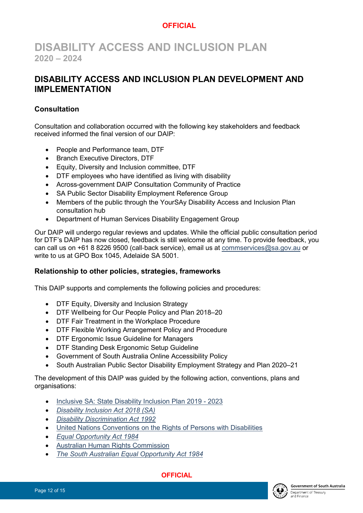# **DISABILITY ACCESS AND INCLUSION PLAN 2020 – 2024**

## <span id="page-11-0"></span>**DISABILITY ACCESS AND INCLUSION PLAN DEVELOPMENT AND IMPLEMENTATION**

## **Consultation**

Consultation and collaboration occurred with the following key stakeholders and feedback received informed the final version of our DAIP:

- People and Performance team, DTF
- Branch Executive Directors, DTF
- Equity, Diversity and Inclusion committee, DTF
- DTF employees who have identified as living with disability
- Across-government DAIP Consultation Community of Practice
- SA Public Sector Disability Employment Reference Group
- Members of the public through the YourSAy Disability Access and Inclusion Plan consultation hub
- Department of Human Services Disability Engagement Group

Our DAIP will undergo regular reviews and updates. While the official public consultation period for DTF's DAIP has now closed, feedback is still welcome at any time. To provide feedback, you can call us on +61 8 8226 9500 (call-back service), email us at [commservices@sa.gov.au](mailto:commservices@sa.gov.au) or write to us at GPO Box 1045, Adelaide SA 5001.

## **Relationship to other policies, strategies, frameworks**

This DAIP supports and complements the following policies and procedures:

- DTF Equity, Diversity and Inclusion Strategy
- DTF Wellbeing for Our People Policy and Plan 2018–20
- DTF Fair Treatment in the Workplace Procedure
- DTF Flexible Working Arrangement Policy and Procedure
- DTF Ergonomic Issue Guideline for Managers
- DTF Standing Desk Ergonomic Setup Guideline
- Government of South Australia Online Accessibility Policy
- South Australian Public Sector Disability Employment Strategy and Plan 2020–21

The development of this DAIP was guided by the following action, conventions, plans and organisations:

- [Inclusive SA: State Disability Inclusion Plan 2019 -](https://dhs.sa.gov.au/services/disability/inclusive-sa/state-plan) 2023
- *[Disability Inclusion Act 2018 \(SA\)](https://www.legislation.sa.gov.au/LZ/C/A/DISABILITY%20INCLUSION%20ACT%202018.aspx)*
- *[Disability Discrimination Act 1992](https://www.legislation.gov.au/Details/C2018C00125)*
- [United Nations Conventions on the Rights of Persons with Disabilities](https://www.humanrights.gov.au/our-work/disability-rights/united-nations-convention-rights-persons-disabilities-uncrpd)
- *[Equal Opportunity Act 1984](https://www.legislation.sa.gov.au/LZ/C/A/Equal%20Opportunity%20Act%201984.aspx)*
- [Australian Human Rights Commission](https://www.humanrights.gov.au/our-work/education/face-facts-disability-rights)
- *[The South Australian Equal Opportunity Act 1984](https://www.legislation.sa.gov.au/lz/c/a/equal%20opportunity%20act%201984.aspx)*

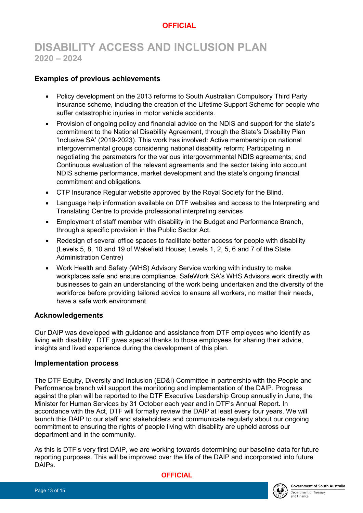# **DISABILITY ACCESS AND INCLUSION PLAN 2020 – 2024**

### **Examples of previous achievements**

- Policy development on the 2013 reforms to South Australian Compulsory Third Party insurance scheme, including the creation of the Lifetime Support Scheme for people who suffer catastrophic injuries in motor vehicle accidents.
- Provision of ongoing policy and financial advice on the NDIS and support for the state's commitment to the National Disability Agreement, through the State's Disability Plan 'Inclusive SA' (2019-2023). This work has involved: Active membership on national intergovernmental groups considering national disability reform; Participating in negotiating the parameters for the various intergovernmental NDIS agreements; and Continuous evaluation of the relevant agreements and the sector taking into account NDIS scheme performance, market development and the state's ongoing financial commitment and obligations.
- CTP Insurance Regular website approved by the Royal Society for the Blind.
- Language help information available on DTF websites and access to the Interpreting and Translating Centre to provide professional interpreting services
- Employment of staff member with disability in the Budget and Performance Branch, through a specific provision in the Public Sector Act.
- Redesign of several office spaces to facilitate better access for people with disability (Levels 5, 8, 10 and 19 of Wakefield House; Levels 1, 2, 5, 6 and 7 of the State Administration Centre)
- Work Health and Safety (WHS) Advisory Service working with industry to make workplaces safe and ensure compliance. SafeWork SA's WHS Advisors work directly with businesses to gain an understanding of the work being undertaken and the diversity of the workforce before providing tailored advice to ensure all workers, no matter their needs, have a safe work environment.

#### **Acknowledgements**

Our DAIP was developed with guidance and assistance from DTF employees who identify as living with disability. DTF gives special thanks to those employees for sharing their advice, insights and lived experience during the development of this plan.

#### **Implementation process**

The DTF Equity, Diversity and Inclusion (ED&I) Committee in partnership with the People and Performance branch will support the monitoring and implementation of the DAIP. Progress against the plan will be reported to the DTF Executive Leadership Group annually in June, the Minister for Human Services by 31 October each year and in DTF's Annual Report. In accordance with the Act, DTF will formally review the DAIP at least every four years. We will launch this DAIP to our staff and stakeholders and communicate regularly about our ongoing commitment to ensuring the rights of people living with disability are upheld across our department and in the community.

As this is DTF's very first DAIP, we are working towards determining our baseline data for future reporting purposes. This will be improved over the life of the DAIP and incorporated into future DAIPs.

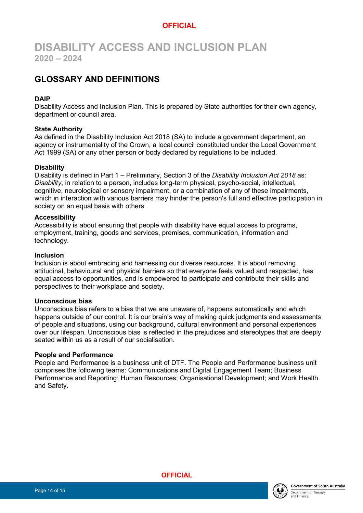# **DISABILITY ACCESS AND INCLUSION PLAN 2020 – 2024**

# <span id="page-13-0"></span>**GLOSSARY AND DEFINITIONS**

#### **DAIP**

Disability Access and Inclusion Plan. This is prepared by State authorities for their own agency, department or council area.

#### **State Authority**

As defined in the Disability Inclusion Act 2018 (SA) to include a government department, an agency or instrumentality of the Crown, a local council constituted under the Local Government Act 1999 (SA) or any other person or body declared by regulations to be included.

#### **Disability**

Disability is defined in Part 1 – Preliminary, Section 3 of the *Disability Inclusion Act 2018* as: *Disability*, in relation to a person, includes long-term physical, psycho-social, intellectual, cognitive, neurological or sensory impairment, or a combination of any of these impairments, which in interaction with various barriers may hinder the person's full and effective participation in society on an equal basis with others

#### **Accessibility**

Accessibility is about ensuring that people with disability have equal access to programs, employment, training, goods and services, premises, communication, information and technology.

#### **Inclusion**

Inclusion is about embracing and harnessing our diverse resources. It is about removing attitudinal, behavioural and physical barriers so that everyone feels valued and respected, has equal access to opportunities, and is empowered to participate and contribute their skills and perspectives to their workplace and society.

#### **Unconscious bias**

Unconscious bias refers to a bias that we are unaware of, happens automatically and which happens outside of our control. It is our brain's way of making quick judgments and assessments of people and situations, using our background, cultural environment and personal experiences over our lifespan. Unconscious bias is reflected in the prejudices and stereotypes that are deeply seated within us as a result of our socialisation.

#### **People and Performance**

People and Performance is a business unit of DTF. The People and Performance business unit comprises the following teams: Communications and Digital Engagement Team; Business Performance and Reporting; Human Resources; Organisational Development; and Work Health and Safety.